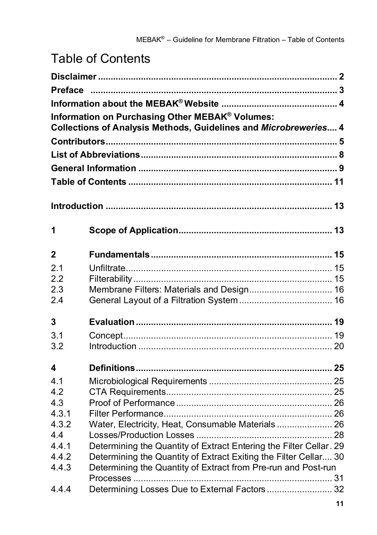## Table of Contents

|                            | Information on Purchasing Other MEBAK® Volumes:<br>Collections of Analysis Methods, Guidelines and Microbreweries 4                                                                                     |  |
|----------------------------|---------------------------------------------------------------------------------------------------------------------------------------------------------------------------------------------------------|--|
|                            |                                                                                                                                                                                                         |  |
| 1                          |                                                                                                                                                                                                         |  |
| 2                          |                                                                                                                                                                                                         |  |
| 2.1<br>2.2                 |                                                                                                                                                                                                         |  |
| 2.3<br>2.4                 | Membrane Filters: Materials and Design 16                                                                                                                                                               |  |
| 3                          |                                                                                                                                                                                                         |  |
| 3.1<br>3.2                 |                                                                                                                                                                                                         |  |
| 4                          |                                                                                                                                                                                                         |  |
| 4.1<br>4.2<br>4.3<br>4.3.1 |                                                                                                                                                                                                         |  |
| 4.3.2<br>4.4               | Water, Electricity, Heat, Consumable Materials 26                                                                                                                                                       |  |
| 4.4.1<br>4.4.2<br>4.4.3    | Determining the Quantity of Extract Entering the Filter Cellar. 29<br>Determining the Quantity of Extract Exiting the Filter Cellar 30<br>Determining the Quantity of Extract from Pre-run and Post-run |  |
| 4.4.4                      | Determining Losses Due to External Factors 32                                                                                                                                                           |  |